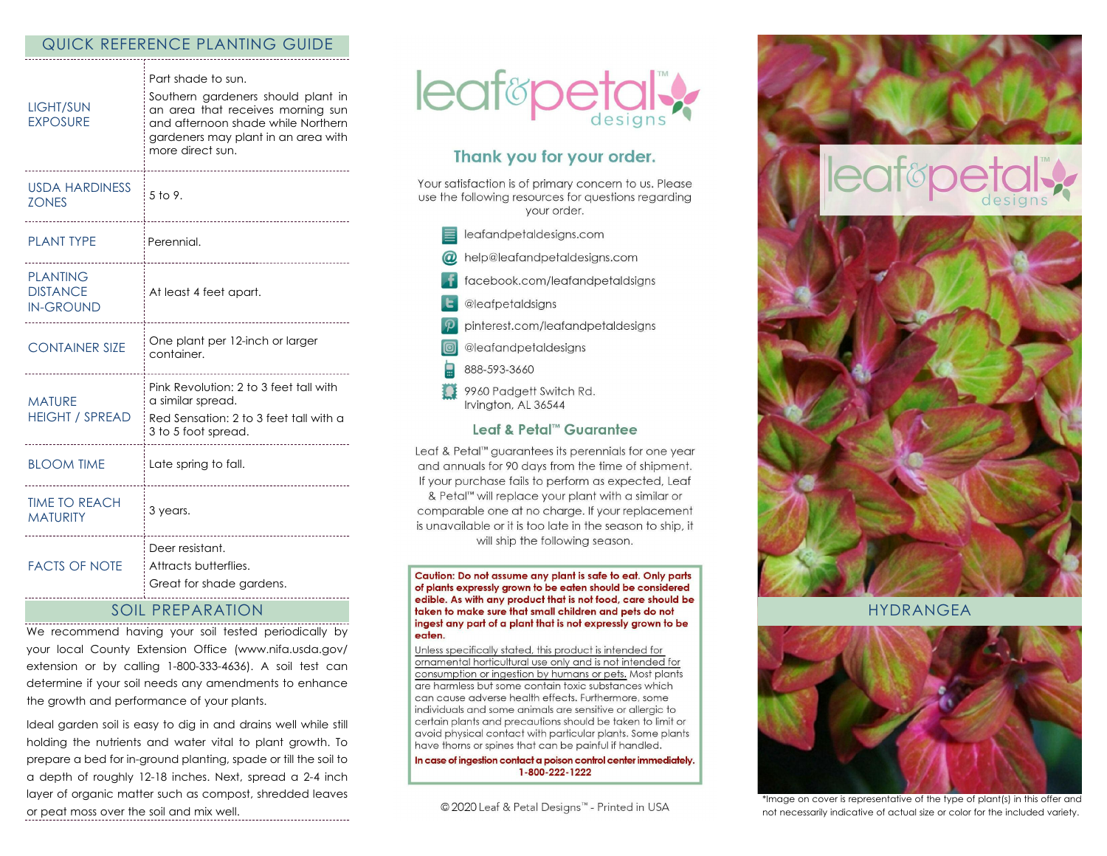## QUICK REFERENCE PLANTING GUIDE

| <b>LIGHT/SUN</b><br><b>EXPOSURE</b>                    | Part shade to sun.<br>Southern gardeners should plant in<br>an area that receives morning sun<br>and afternoon shade while Northern<br>gardeners may plant in an area with<br>more direct sun. |
|--------------------------------------------------------|------------------------------------------------------------------------------------------------------------------------------------------------------------------------------------------------|
| <b>USDA HARDINESS</b><br><b>ZONES</b>                  | 5 to 9.                                                                                                                                                                                        |
| <b>PLANT TYPE</b>                                      | Perennial.                                                                                                                                                                                     |
| <b>PLANTING</b><br><b>DISTANCE</b><br><b>IN-GROUND</b> | At least 4 feet apart.                                                                                                                                                                         |
| <b>CONTAINER SIZE</b>                                  | One plant per 12-inch or larger<br>container.                                                                                                                                                  |
| <b>MATURE</b><br><b>HEIGHT / SPREAD</b>                | Pink Revolution: 2 to 3 feet tall with<br>a similar spread.<br>Red Sensation: 2 to 3 feet tall with a<br>3 to 5 foot spread.                                                                   |
| <b>BLOOM TIME</b>                                      | Late spring to fall.                                                                                                                                                                           |
| <b>TIME TO REACH</b><br><b>MATURITY</b>                | 3 years.<br>.                                                                                                                                                                                  |
| <b>FACTS OF NOTE</b>                                   | Deer resistant.<br>Attracts butterflies.<br>Great for shade gardens.                                                                                                                           |

## SOIL PREPARATION

We recommend having your soil tested periodically by your local County Extension Office (www.nifa.usda.gov/ extension or by calling 1-800-333-4636). A soil test can determine if your soil needs any amendments to enhance the growth and performance of your plants.

Ideal garden soil is easy to dig in and drains well while still holding the nutrients and water vital to plant growth. To prepare a bed for in-ground planting, spade or till the soil to a depth of roughly 12-18 inches. Next, spread a 2-4 inch layer of organic matter such as compost, shredded leaves or peat moss over the soil and mix well.



# Thank you for your order.

Your satisfaction is of primary concern to us. Please use the following resources for questions regarding vour order.

| leafandpetaldesigns.com |
|-------------------------|
|                         |

- @ help@leafandpetaldesigns.com
- facebook.com/leafandpetaldsigns
- **L** @leafpetaldsigns
- pinterest.com/leafandpetaldesigns
- @leafandpetaldesigns
- 888-593-3660
- 9960 Padgett Switch Rd. Irvington, AL 36544

#### Leaf & Petal™ Guarantee

Leaf & Petal™ guarantees its perennials for one year and annuals for 90 days from the time of shipment. If your purchase fails to perform as expected, Leaf & Petal<sup>™</sup> will replace your plant with a similar or comparable one at no charge. If your replacement is unavailable or it is too late in the season to ship, it will ship the following season.

Caution: Do not assume any plant is safe to eat. Only parts of plants expressly grown to be eaten should be considered edible. As with any product that is not food, care should be taken to make sure that small children and pets do not ingest any part of a plant that is not expressly grown to be eaten.

Unless specifically stated, this product is intended for ornamental horticultural use only and is not intended for consumption or ingestion by humans or pets. Most plants are harmless but some contain toxic substances which can cause adverse health effects. Furthermore, some individuals and some animals are sensitive or allergic to certain plants and precautions should be taken to limit or avoid physical contact with particular plants. Some plants have thorns or spines that can be painful if handled.

In case of ingestion contact a poison control center immediately. 1-800-222-1222

© 2020 Leaf & Petal Designs™ - Printed in USA



HYDRANGEA



\*Image on cover is representative of the type of plant(s) in this offer and not necessarily indicative of actual size or color for the included variety.